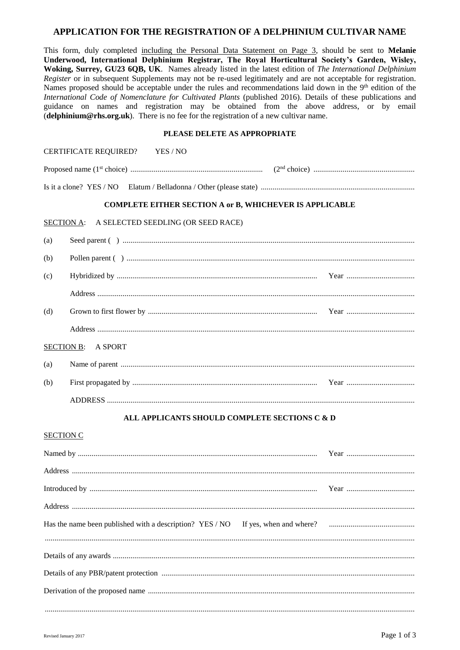# APPLICATION FOR THE REGISTRATION OF A DELPHINIUM CULTIVAR NAME

This form, duly completed including the Personal Data Statement on Page 3, should be sent to Melanie Underwood, International Delphinium Registrar, The Royal Horticultural Society's Garden, Wisley, Woking, Surrey, GU23 6QB, UK. Names already listed in the latest edition of The International Delphinium Register or in subsequent Supplements may not be re-used legitimately and are not acceptable for registration. Names proposed should be acceptable under the rules and recommendations laid down in the 9<sup>th</sup> edition of the International Code of Nomenclature for Cultivated Plants (published 2016). Details of these publications and guidance on names and registration may be obtained from the above address, or by email  $\ddot{\theta}$  (delphinium@rhs.org.uk). There is no fee for the registration of a new cultivar name.

### PLEASE DELETE AS APPROPRIATE

| CERTIFICATE REQUIRED? YES / NO                                 |  |
|----------------------------------------------------------------|--|
|                                                                |  |
|                                                                |  |
| <b>COMPLETE EITHER SECTION A or B, WHICHEVER IS APPLICABLE</b> |  |
| A SELECTED SEEDLING (OR SEED RACE)<br><b>SECTION A:</b>        |  |
| (a)                                                            |  |
| (b)                                                            |  |
| (c)                                                            |  |
|                                                                |  |
| (d)                                                            |  |
|                                                                |  |
| <b>SECTION B:</b><br>A SPORT                                   |  |
| (a)                                                            |  |
| (b)                                                            |  |
|                                                                |  |
| ALL APPLICANTS SHOULD COMPLETE SECTIONS C & D                  |  |
| <b>SECTION C</b>                                               |  |
|                                                                |  |
|                                                                |  |
|                                                                |  |
|                                                                |  |
|                                                                |  |
|                                                                |  |
|                                                                |  |
|                                                                |  |
|                                                                |  |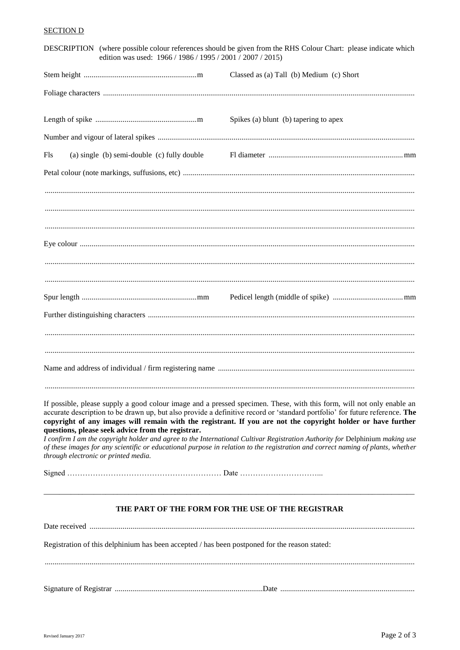# **SECTION D**

|                                      | edition was used: 1966 / 1986 / 1995 / 2001 / 2007 / 2015)                                    | DESCRIPTION (where possible colour references should be given from the RHS Colour Chart: please indicate which                                                                                                                                                                                                                                                                                                                                                                                                                                                                                                                          |
|--------------------------------------|-----------------------------------------------------------------------------------------------|-----------------------------------------------------------------------------------------------------------------------------------------------------------------------------------------------------------------------------------------------------------------------------------------------------------------------------------------------------------------------------------------------------------------------------------------------------------------------------------------------------------------------------------------------------------------------------------------------------------------------------------------|
|                                      |                                                                                               | Classed as (a) Tall (b) Medium (c) Short                                                                                                                                                                                                                                                                                                                                                                                                                                                                                                                                                                                                |
|                                      |                                                                                               |                                                                                                                                                                                                                                                                                                                                                                                                                                                                                                                                                                                                                                         |
|                                      |                                                                                               | Spikes (a) blunt (b) tapering to apex                                                                                                                                                                                                                                                                                                                                                                                                                                                                                                                                                                                                   |
|                                      |                                                                                               |                                                                                                                                                                                                                                                                                                                                                                                                                                                                                                                                                                                                                                         |
| Fls                                  | (a) single (b) semi-double (c) fully double                                                   |                                                                                                                                                                                                                                                                                                                                                                                                                                                                                                                                                                                                                                         |
|                                      |                                                                                               |                                                                                                                                                                                                                                                                                                                                                                                                                                                                                                                                                                                                                                         |
|                                      |                                                                                               |                                                                                                                                                                                                                                                                                                                                                                                                                                                                                                                                                                                                                                         |
|                                      |                                                                                               |                                                                                                                                                                                                                                                                                                                                                                                                                                                                                                                                                                                                                                         |
|                                      |                                                                                               |                                                                                                                                                                                                                                                                                                                                                                                                                                                                                                                                                                                                                                         |
|                                      |                                                                                               |                                                                                                                                                                                                                                                                                                                                                                                                                                                                                                                                                                                                                                         |
|                                      |                                                                                               |                                                                                                                                                                                                                                                                                                                                                                                                                                                                                                                                                                                                                                         |
|                                      |                                                                                               |                                                                                                                                                                                                                                                                                                                                                                                                                                                                                                                                                                                                                                         |
|                                      |                                                                                               |                                                                                                                                                                                                                                                                                                                                                                                                                                                                                                                                                                                                                                         |
| through electronic or printed media. | questions, please seek advice from the registrar.                                             | If possible, please supply a good colour image and a pressed specimen. These, with this form, will not only enable an<br>accurate description to be drawn up, but also provide a definitive record or 'standard portfolio' for future reference. The<br>copyright of any images will remain with the registrant. If you are not the copyright holder or have further<br>I confirm I am the copyright holder and agree to the International Cultivar Registration Authority for Delphinium making use<br>of these images for any scientific or educational purpose in relation to the registration and correct naming of plants, whether |
|                                      |                                                                                               |                                                                                                                                                                                                                                                                                                                                                                                                                                                                                                                                                                                                                                         |
|                                      |                                                                                               | THE PART OF THE FORM FOR THE USE OF THE REGISTRAR                                                                                                                                                                                                                                                                                                                                                                                                                                                                                                                                                                                       |
|                                      |                                                                                               |                                                                                                                                                                                                                                                                                                                                                                                                                                                                                                                                                                                                                                         |
|                                      | Registration of this delphinium has been accepted / has been postponed for the reason stated: |                                                                                                                                                                                                                                                                                                                                                                                                                                                                                                                                                                                                                                         |
|                                      |                                                                                               |                                                                                                                                                                                                                                                                                                                                                                                                                                                                                                                                                                                                                                         |